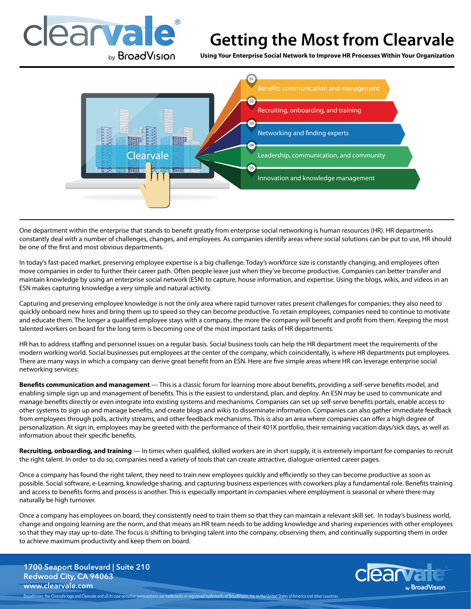

## **Getting the Most from Clearvale**

**Using Your Enterprise Social Network to Improve HR Processes Within Your Organization**



One department within the enterprise that stands to benefit greatly from enterprise social networking is human resources (HR). HR departments constantly deal with a number of challenges, changes, and employees. As companies identify areas where social solutions can be put to use, HR should be one of the first and most obvious departments.

In today's fast-paced market, preserving employee expertise is a big challenge. Today's workforce size is constantly changing, and employees often move companies in order to further their career path. Often people leave just when they've become productive. Companies can better transfer and maintain knowledge by using an enterprise social network (ESN) to capture, house information, and expertise. Using the blogs, wikis, and videos in an ESN makes capturing knowledge a very simple and natural activity.

Capturing and preserving employee knowledge is not the only area where rapid turnover rates present challenges for companies; they also need to quickly onboard new hires and bring them up to speed so they can become productive. To retain employees, companies need to continue to motivate and educate them. The longer a qualified employee stays with a company, the more the company will benefit and profit from them. Keeping the most talented workers on board for the long term is becoming one of the most important tasks of HR departments.

HR has to address staffing and personnel issues on a regular basis. Social business tools can help the HR department meet the requirements of the modern working world. Social businesses put employees at the center of the company, which coincidentally, is where HR departments put employees. There are many ways in which a company can derive great benefit from an ESN. Here are five simple areas where HR can leverage enterprise social networking services:

**Benefits communication and management** — This is a classic forum for learning more about benefits, providing a self-serve benefits model, and enabling simple sign up and management of benefits. This is the easiest to understand, plan, and deploy. An ESN may be used to communicate and manage benefits directly or even integrate into existing systems and mechanisms. Companies can set up self-serve benefits portals, enable access to other systems to sign up and manage benefits, and create blogs and wikis to disseminate information. Companies can also gather immediate feedback from employees through polls, activity streams, and other feedback mechanisms. This is also an area where companies can offer a high degree of personalization. At sign in, employees may be greeted with the performance of their 401K portfolio, their remaining vacation days/sick days, as well as information about their specific benefits.

**Recruiting, onboarding, and training** — In times when qualified, skilled workers are in short supply, it is extremely important for companies to recruit the right talent. In order to do so, companies need a variety of tools that can create attractive, dialogue-oriented career pages.

Once a company has found the right talent, they need to train new employees quickly and efficiently so they can become productive as soon as possible. Social software, e-Learning, knowledge sharing, and capturing business experiences with coworkers play a fundamental role. Benefits training and access to benefits forms and process is another. This is especially important in companies where employment is seasonal or where there may naturally be high turnover.

Once a company has employees on board, they consistently need to train them so that they can maintain a relevant skill set. In today's business world, change and ongoing learning are the norm, and that means an HR team needs to be adding knowledge and sharing experiences with other employees so that they may stay up-to-date. The focus is shifting to bringing talent into the company, observing them, and continually supporting them in order to achieve maximum productivity and keep them on board.

1700 Seaport Boulevard | Suite 210 Redwood City, CA 94063 <www.clearvale.com>



BroadVision, the Clearvale logo and Clearvale and all its case-sensitive permutations are trademarks or registered trademarks of BroadVision, Inc. in the United States of America and other countries